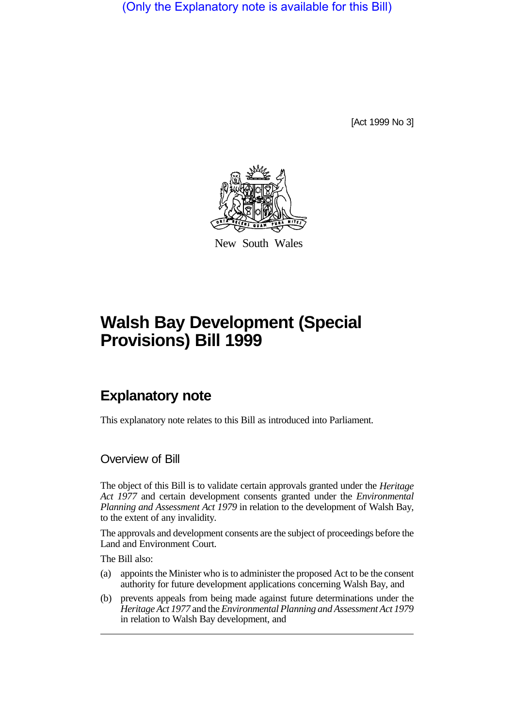(Only the Explanatory note is available for this Bill)

[Act 1999 No 3]



New South Wales

# **Walsh Bay Development (Special Provisions) Bill 1999**

## **Explanatory note**

This explanatory note relates to this Bill as introduced into Parliament.

#### Overview of Bill

The object of this Bill is to validate certain approvals granted under the *Heritage Act 1977* and certain development consents granted under the *Environmental Planning and Assessment Act 1979* in relation to the development of Walsh Bay, to the extent of any invalidity.

The approvals and development consents are the subject of proceedings before the Land and Environment Court.

The Bill also:

- (a) appoints the Minister who is to administer the proposed Act to be the consent authority for future development applications concerning Walsh Bay, and
- (b) prevents appeals from being made against future determinations under the *Heritage Act 1977* and the *Environmental Planning and Assessment Act 1979* in relation to Walsh Bay development, and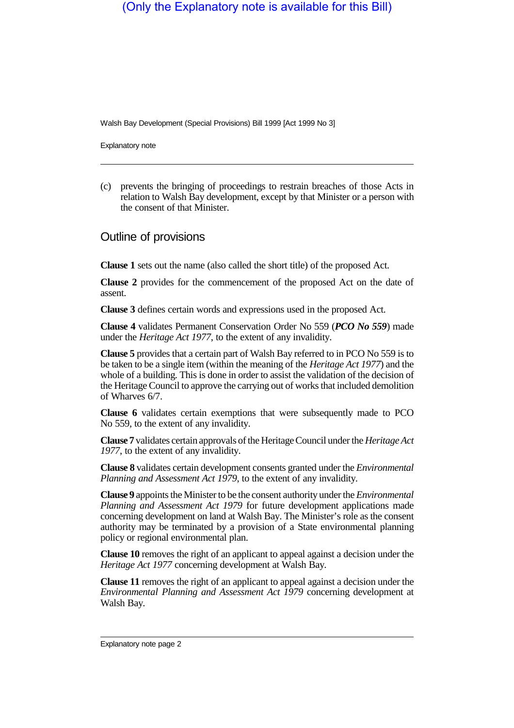### (Only the Explanatory note is available for this Bill)

Walsh Bay Development (Special Provisions) Bill 1999 [Act 1999 No 3]

Explanatory note

(c) prevents the bringing of proceedings to restrain breaches of those Acts in relation to Walsh Bay development, except by that Minister or a person with the consent of that Minister.

#### Outline of provisions

**Clause 1** sets out the name (also called the short title) of the proposed Act.

**Clause 2** provides for the commencement of the proposed Act on the date of assent.

**Clause 3** defines certain words and expressions used in the proposed Act.

**Clause 4** validates Permanent Conservation Order No 559 (*PCO No 559*) made under the *Heritage Act 1977*, to the extent of any invalidity.

**Clause 5** provides that a certain part of Walsh Bay referred to in PCO No 559 is to be taken to be a single item (within the meaning of the *Heritage Act 1977*) and the whole of a building. This is done in order to assist the validation of the decision of the Heritage Council to approve the carrying out of works that included demolition of Wharves 6/7.

**Clause 6** validates certain exemptions that were subsequently made to PCO No 559, to the extent of any invalidity.

**Clause 7** validates certain approvals of the Heritage Council under the *Heritage Act 1977*, to the extent of any invalidity.

**Clause 8** validates certain development consents granted under the *Environmental Planning and Assessment Act 1979*, to the extent of any invalidity.

**Clause 9** appoints the Minister to be the consent authority under the *Environmental Planning and Assessment Act 1979* for future development applications made concerning development on land at Walsh Bay. The Minister's role as the consent authority may be terminated by a provision of a State environmental planning policy or regional environmental plan.

**Clause 10** removes the right of an applicant to appeal against a decision under the *Heritage Act 1977* concerning development at Walsh Bay.

**Clause 11** removes the right of an applicant to appeal against a decision under the *Environmental Planning and Assessment Act 1979* concerning development at Walsh Bay.